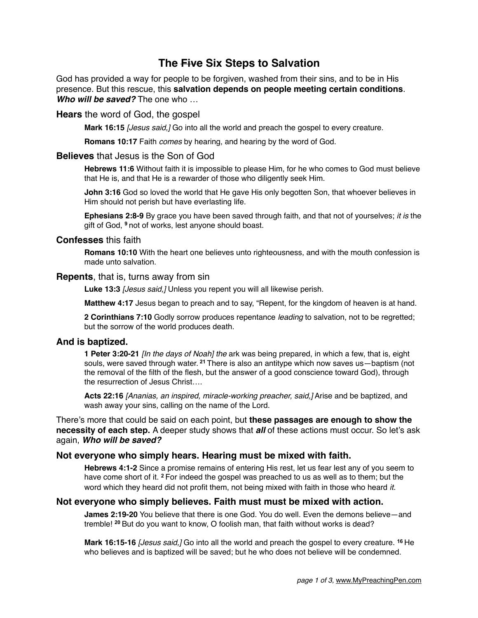# **The Five Six Steps to Salvation**

God has provided a way for people to be forgiven, washed from their sins, and to be in His presence. But this rescue, this **salvation depends on people meeting certain conditions**. *Who will be saved?* The one who …

## **Hears** the word of God, the gospel

**Mark 16:15** *[Jesus said,]* Go into all the world and preach the gospel to every creature.

**Romans 10:17** Faith *comes* by hearing, and hearing by the word of God.

#### **Believes** that Jesus is the Son of God

**Hebrews 11:6** Without faith it is impossible to please Him, for he who comes to God must believe that He is, and that He is a rewarder of those who diligently seek Him.

**John 3:16** God so loved the world that He gave His only begotten Son, that whoever believes in Him should not perish but have everlasting life.

**Ephesians 2:8-9** By grace you have been saved through faith, and that not of yourselves; *it is* the gift of God, **<sup>9</sup>**not of works, lest anyone should boast.

#### **Confesses** this faith

**Romans 10:10** With the heart one believes unto righteousness, and with the mouth confession is made unto salvation.

#### **Repents**, that is, turns away from sin

**Luke 13:3** *[Jesus said,]* Unless you repent you will all likewise perish.

**Matthew 4:17** Jesus began to preach and to say, "Repent, for the kingdom of heaven is at hand.

**2 Corinthians 7:10** Godly sorrow produces repentance *leading* to salvation, not to be regretted; but the sorrow of the world produces death.

## **And is baptized.**

**1 Peter 3:20-21** *[In the days of Noah] the* ark was being prepared, in which a few, that is, eight souls, were saved through water. **<sup>21</sup>**There is also an antitype which now saves us—baptism (not the removal of the filth of the flesh, but the answer of a good conscience toward God), through the resurrection of Jesus Christ….

**Acts 22:16** *[Ananias, an inspired, miracle-working preacher, said,]* Arise and be baptized, and wash away your sins, calling on the name of the Lord.

There's more that could be said on each point, but **these passages are enough to show the necessity of each step.** A deeper study shows that *all* of these actions must occur. So let's ask again, *Who will be saved?*

## **Not everyone who simply hears. Hearing must be mixed with faith.**

**Hebrews 4:1-2** Since a promise remains of entering His rest, let us fear lest any of you seem to have come short of it. **<sup>2</sup>**For indeed the gospel was preached to us as well as to them; but the word which they heard did not profit them, not being mixed with faith in those who heard *it.*

#### **Not everyone who simply believes. Faith must must be mixed with action.**

**James 2:19-20** You believe that there is one God. You do well. Even the demons believe—and tremble! **<sup>20</sup>**But do you want to know, O foolish man, that faith without works is dead?

**Mark 16:15-16** *[Jesus said,]* Go into all the world and preach the gospel to every creature. **<sup>16</sup>**He who believes and is baptized will be saved; but he who does not believe will be condemned.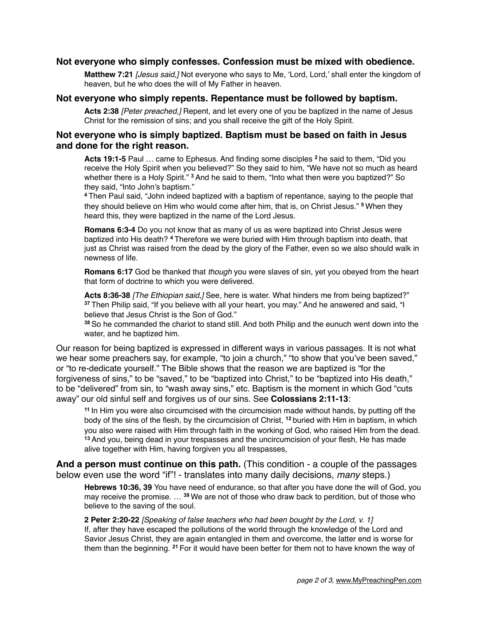# **Not everyone who simply confesses. Confession must be mixed with obedience.**

**Matthew 7:21** *[Jesus said,]* Not everyone who says to Me, 'Lord, Lord,' shall enter the kingdom of heaven, but he who does the will of My Father in heaven.

# **Not everyone who simply repents. Repentance must be followed by baptism.**

**Acts 2:38** *[Peter preached,]* Repent, and let every one of you be baptized in the name of Jesus Christ for the remission of sins; and you shall receive the gift of the Holy Spirit.

# **Not everyone who is simply baptized. Baptism must be based on faith in Jesus and done for the right reason.**

**Acts 19:1-5** Paul … came to Ephesus. And finding some disciples **<sup>2</sup>**he said to them, "Did you receive the Holy Spirit when you believed?" So they said to him, "We have not so much as heard whether there is a Holy Spirit." **<sup>3</sup>**And he said to them, "Into what then were you baptized?" So they said, "Into John's baptism."

**<sup>4</sup>**Then Paul said, "John indeed baptized with a baptism of repentance, saying to the people that they should believe on Him who would come after him, that is, on Christ Jesus." **<sup>5</sup>**When they heard this, they were baptized in the name of the Lord Jesus.

**Romans 6:3-4** Do you not know that as many of us as were baptized into Christ Jesus were baptized into His death? **<sup>4</sup>**Therefore we were buried with Him through baptism into death, that just as Christ was raised from the dead by the glory of the Father, even so we also should walk in newness of life.

**Romans 6:17** God be thanked that *though* you were slaves of sin, yet you obeyed from the heart that form of doctrine to which you were delivered.

**Acts 8:36-38** *[The Ethiopian said,]* See, here is water. What hinders me from being baptized?" **<sup>37</sup>**Then Philip said, "If you believe with all your heart, you may." And he answered and said, "I believe that Jesus Christ is the Son of God."

**<sup>38</sup>**So he commanded the chariot to stand still. And both Philip and the eunuch went down into the water, and he baptized him.

Our reason for being baptized is expressed in different ways in various passages. It is not what we hear some preachers say, for example, "to join a church," "to show that you've been saved," or "to re-dedicate yourself." The Bible shows that the reason we are baptized is "for the forgiveness of sins," to be "saved," to be "baptized into Christ," to be "baptized into His death," to be "delivered" from sin, to "wash away sins," etc. Baptism is the moment in which God "cuts away" our old sinful self and forgives us of our sins. See **Colossians 2:11-13**:

**<sup>11</sup>**In Him you were also circumcised with the circumcision made without hands, by putting off the body of the sins of the flesh, by the circumcision of Christ, **<sup>12</sup>**buried with Him in baptism, in which you also were raised with Him through faith in the working of God, who raised Him from the dead. **<sup>13</sup>**And you, being dead in your trespasses and the uncircumcision of your flesh, He has made alive together with Him, having forgiven you all trespasses,

**And a person must continue on this path.** (This condition - a couple of the passages below even use the word "if"! - translates into many daily decisions, *many* steps.)

**Hebrews 10:36, 39** You have need of endurance, so that after you have done the will of God, you may receive the promise. … **<sup>39</sup>**We are not of those who draw back to perdition, but of those who believe to the saving of the soul.

**2 Peter 2:20-22** *[Speaking of false teachers who had been bought by the Lord, v. 1]*  If, after they have escaped the pollutions of the world through the knowledge of the Lord and Savior Jesus Christ, they are again entangled in them and overcome, the latter end is worse for them than the beginning. **<sup>21</sup>**For it would have been better for them not to have known the way of